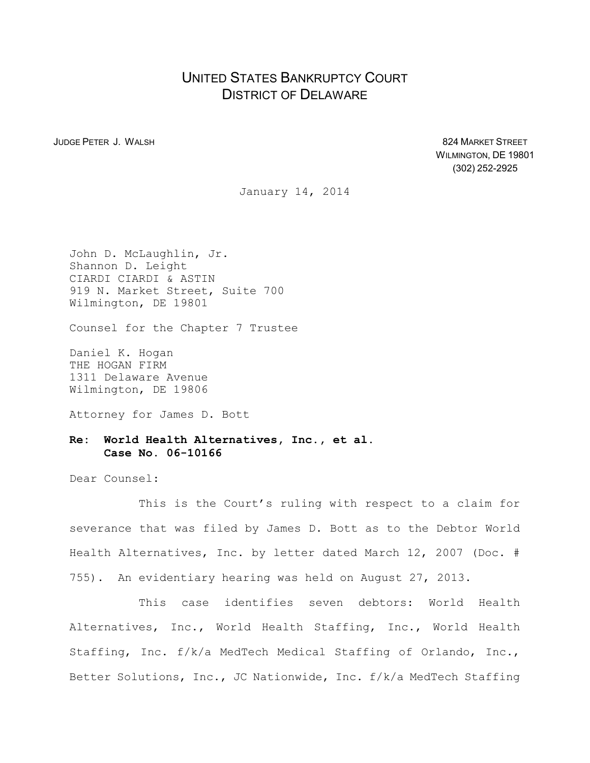## UNITED STATES BANKRUPTCY COURT DISTRICT OF DELAWARE

JUDGE PETER J. WALSH 824 MARKET STREET WILMINGTON, DE 19801 (302) 252-2925

January 14, 2014

John D. McLaughlin, Jr. Shannon D. Leight CIARDI CIARDI & ASTIN 919 N. Market Street, Suite 700 Wilmington, DE 19801

Counsel for the Chapter 7 Trustee

Daniel K. Hogan THE HOGAN FIRM 1311 Delaware Avenue Wilmington, DE 19806

Attorney for James D. Bott

## **Re: World Health Alternatives, Inc., et al. Case No. 06-10166**

Dear Counsel:

This is the Court's ruling with respect to a claim for severance that was filed by James D. Bott as to the Debtor World Health Alternatives, Inc. by letter dated March 12, 2007 (Doc. # 755). An evidentiary hearing was held on August 27, 2013.

This case identifies seven debtors: World Health Alternatives, Inc., World Health Staffing, Inc., World Health Staffing, Inc. f/k/a MedTech Medical Staffing of Orlando, Inc., Better Solutions, Inc., JC Nationwide, Inc. f/k/a MedTech Staffing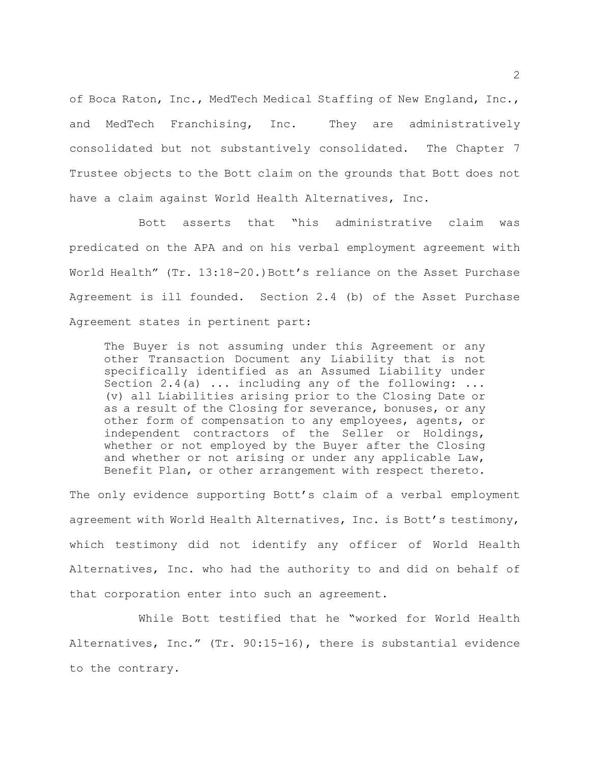of Boca Raton, Inc., MedTech Medical Staffing of New England, Inc., and MedTech Franchising, Inc. They are administratively consolidated but not substantively consolidated. The Chapter 7 Trustee objects to the Bott claim on the grounds that Bott does not have a claim against World Health Alternatives, Inc.

Bott asserts that "his administrative claim was predicated on the APA and on his verbal employment agreement with World Health" (Tr. 13:18-20.) Bott's reliance on the Asset Purchase Agreement is ill founded. Section 2.4 (b) of the Asset Purchase Agreement states in pertinent part:

The Buyer is not assuming under this Agreement or any other Transaction Document any Liability that is not specifically identified as an Assumed Liability under Section 2.4(a) ... including any of the following: ... (v) all Liabilities arising prior to the Closing Date or as a result of the Closing for severance, bonuses, or any other form of compensation to any employees, agents, or independent contractors of the Seller or Holdings, whether or not employed by the Buyer after the Closing and whether or not arising or under any applicable Law, Benefit Plan, or other arrangement with respect thereto.

The only evidence supporting Bott's claim of a verbal employment agreement with World Health Alternatives, Inc. is Bott's testimony, which testimony did not identify any officer of World Health Alternatives, Inc. who had the authority to and did on behalf of that corporation enter into such an agreement.

While Bott testified that he "worked for World Health Alternatives, Inc." (Tr. 90:15-16), there is substantial evidence to the contrary.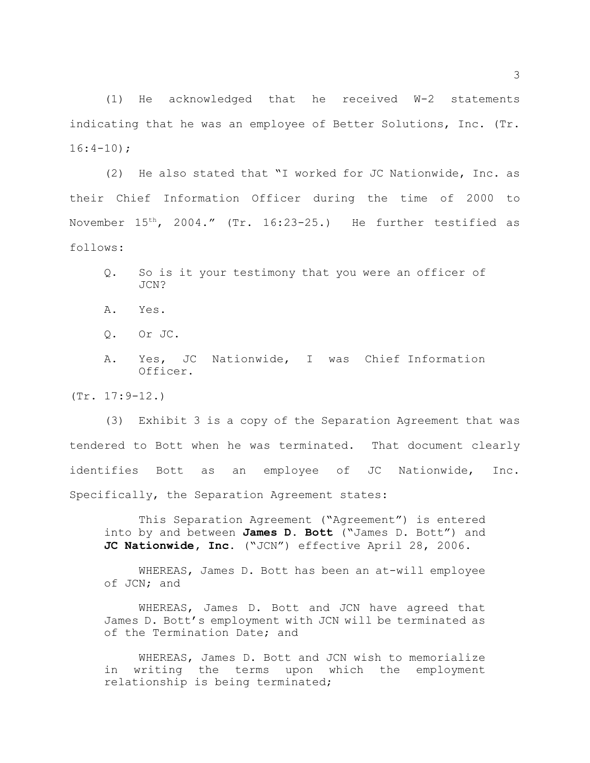(1) He acknowledged that he received W-2 statements indicating that he was an employee of Better Solutions, Inc. (Tr.  $16:4-10$ ;

(2) He also stated that "I worked for JC Nationwide, Inc. as their Chief Information Officer during the time of 2000 to November  $15^{th}$ , 2004." (Tr. 16:23-25.) He further testified as follows:

- Q. So is it your testimony that you were an officer of JCN?
- A. Yes.
- Q. Or JC.
- A. Yes, JC Nationwide, I was Chief Information Officer.

(Tr. 17:9-12.)

(3) Exhibit 3 is a copy of the Separation Agreement that was tendered to Bott when he was terminated. That document clearly identifies Bott as an employee of JC Nationwide, Inc. Specifically, the Separation Agreement states:

This Separation Agreement ("Agreement") is entered into by and between **James D. Bott** ("James D. Bott") and **JC Nationwide, Inc.** ("JCN") effective April 28, 2006.

WHEREAS, James D. Bott has been an at-will employee of JCN; and

WHEREAS, James D. Bott and JCN have agreed that James D. Bott's employment with JCN will be terminated as of the Termination Date; and

WHEREAS, James D. Bott and JCN wish to memorialize in writing the terms upon which the employment relationship is being terminated;